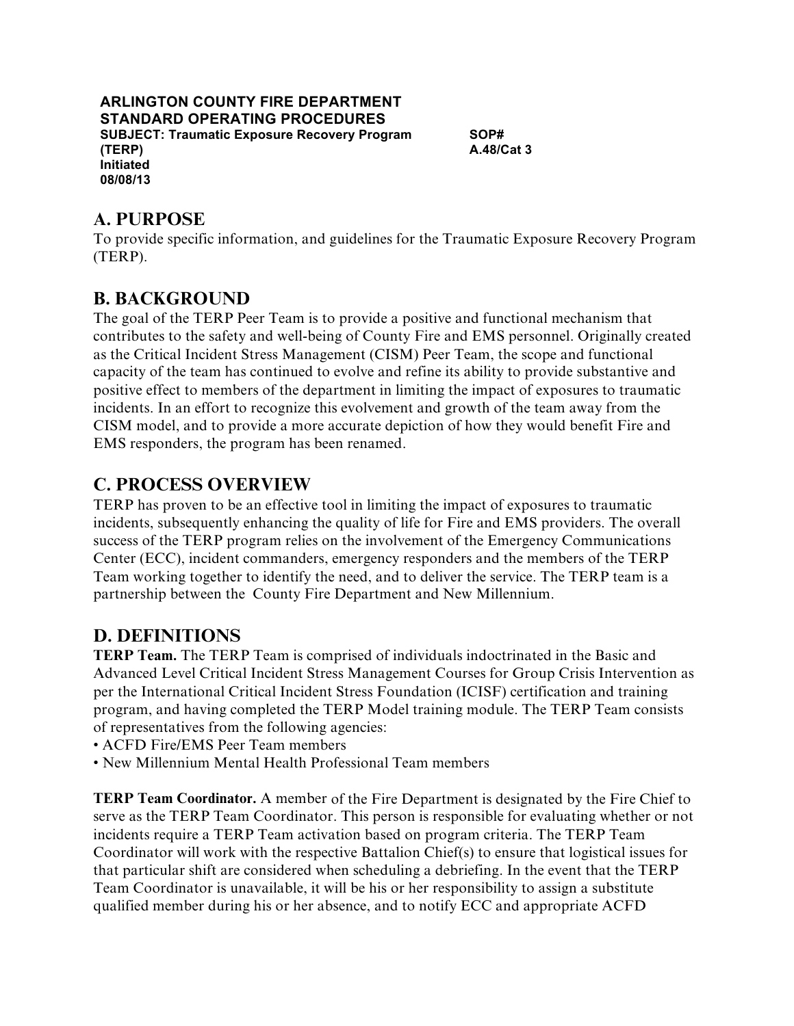#### **ARLINGTON COUNTY FIRE DEPARTMENT STANDARD OPERATING PROCEDURES SUBJECT: Traumatic Exposure Recovery Program (TERP) Initiated 08/08/13**

**SOP# A.48/Cat 3** 

# **A. PURPOSE**

 To provide specific information, and guidelines for the Traumatic Exposure Recovery Program (TERP).

# **B. BACKGROUND**

 The goal of the TERP Peer Team is to provide a positive and functional mechanism that contributes to the safety and well-being of County Fire and EMS personnel. Originally created as the Critical Incident Stress Management (CISM) Peer Team, the scope and functional capacity of the team has continued to evolve and refine its ability to provide substantive and positive effect to members of the department in limiting the impact of exposures to traumatic CISM model, and to provide a more accurate depiction of how they would benefit Fire and EMS responders, the program has been renamed. incidents. In an effort to recognize this evolvement and growth of the team away from the

# **C. PROCESS OVERVIEW**

 TERP has proven to be an effective tool in limiting the impact of exposures to traumatic success of the TERP program relies on the involvement of the Emergency Communications Center (ECC), incident commanders, emergency responders and the members of the TERP Team working together to identify the need, and to deliver the service. The TERP team is a partnership between the County Fire Department and New Millennium. incidents, subsequently enhancing the quality of life for Fire and EMS providers. The overall

# **D. DEFINITIONS**

 **TERP Team.** The TERP Team is comprised of individuals indoctrinated in the Basic and Advanced Level Critical Incident Stress Management Courses for Group Crisis Intervention as per the International Critical Incident Stress Foundation (ICISF) certification and training program, and having completed the TERP Model training module. The TERP Team consists of representatives from the following agencies:

- ACFD Fire/EMS Peer Team members
- New Millennium Mental Health Professional Team members

 **TERP Team Coordinator.** A member of the Fire Department is designated by the Fire Chief to serve as the TERP Team Coordinator. This person is responsible for evaluating whether or not Coordinator will work with the respective Battalion Chief(s) to ensure that logistical issues for that particular shift are considered when scheduling a debriefing. In the event that the TERP Team Coordinator is unavailable, it will be his or her responsibility to assign a substitute qualified member during his or her absence, and to notify ECC and appropriate ACFD incidents require a TERP Team activation based on program criteria. The TERP Team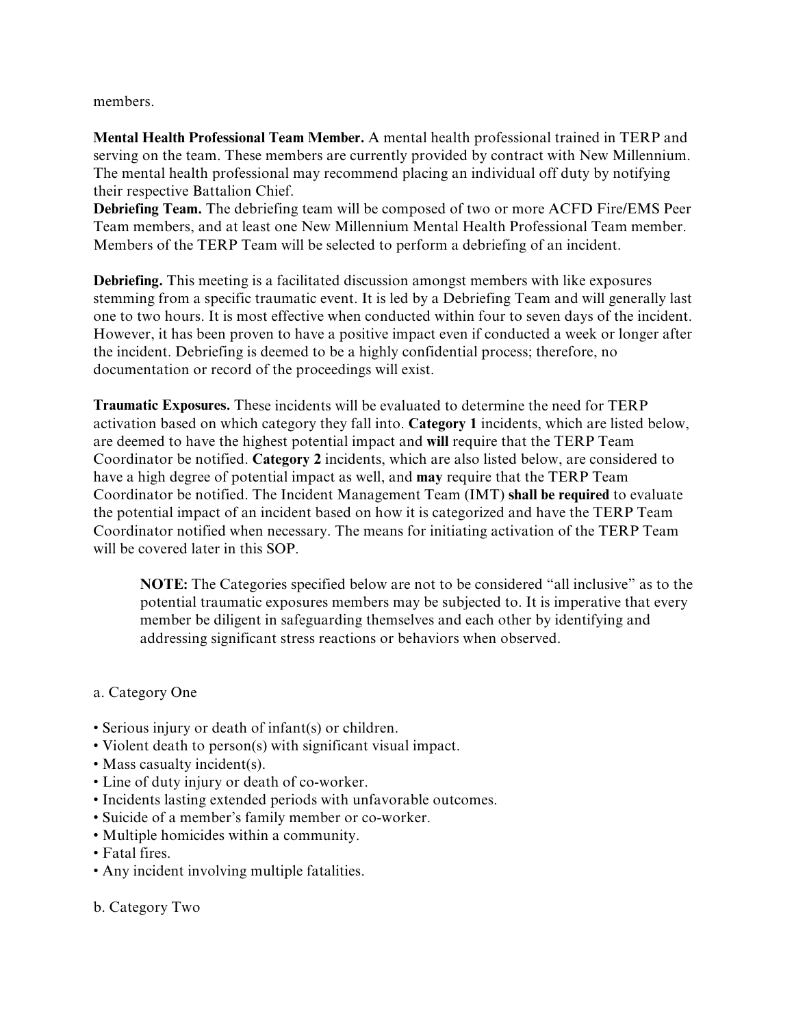members.

 **Mental Health Professional Team Member.** A mental health professional trained in TERP and serving on the team. These members are currently provided by contract with New Millennium. The mental health professional may recommend placing an individual off duty by notifying their respective Battalion Chief.

 **Debriefing Team.** The debriefing team will be composed of two or more ACFD Fire/EMS Peer Team members, and at least one New Millennium Mental Health Professional Team member. Members of the TERP Team will be selected to perform a debriefing of an incident.

 **Debriefing.** This meeting is a facilitated discussion amongst members with like exposures stemming from a specific traumatic event. It is led by a Debriefing Team and will generally last one to two hours. It is most effective when conducted within four to seven days of the incident. However, it has been proven to have a positive impact even if conducted a week or longer after the incident. Debriefing is deemed to be a highly confidential process; therefore, no documentation or record of the proceedings will exist.

 **Traumatic Exposures.** These incidents will be evaluated to determine the need for TERP activation based on which category they fall into. **Category 1** incidents, which are listed below, are deemed to have the highest potential impact and **will** require that the TERP Team Coordinator be notified. **Category 2** incidents, which are also listed below, are considered to have a high degree of potential impact as well, and **may** require that the TERP Team Coordinator be notified. The Incident Management Team (IMT) **shall be required** to evaluate the potential impact of an incident based on how it is categorized and have the TERP Team Coordinator notified when necessary. The means for initiating activation of the TERP Team will be covered later in this SOP.

 **NOTE:** The Categories specified below are not to be considered "all inclusive" as to the potential traumatic exposures members may be subjected to. It is imperative that every member be diligent in safeguarding themselves and each other by identifying and addressing significant stress reactions or behaviors when observed.

#### a. Category One

- Serious injury or death of infant(s) or children.
- Violent death to person(s) with significant visual impact.
- Mass casualty incident(s).
- Line of duty injury or death of co-worker.
- Incidents lasting extended periods with unfavorable outcomes.
- Suicide of a member's family member or co-worker.
- Multiple homicides within a community.
- Fatal fires.
- Any incident involving multiple fatalities.
- b. Category Two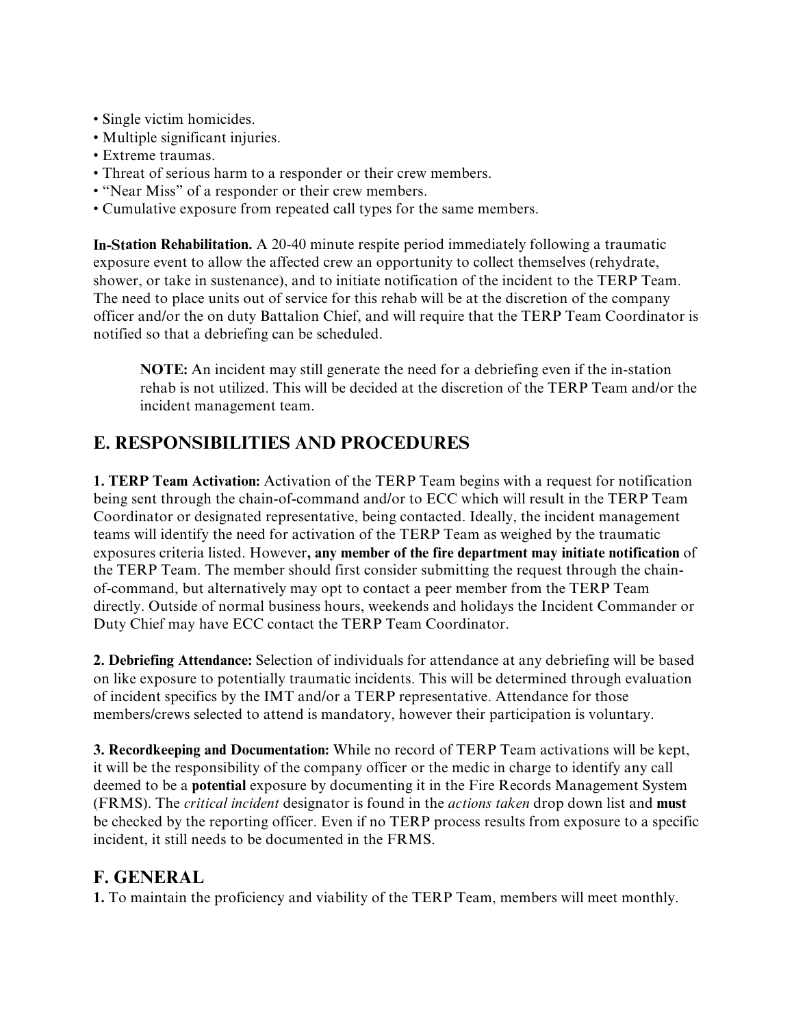- Single victim homicides.
- Multiple significant injuries.
- Extreme traumas.
- Threat of serious harm to a responder or their crew members.
- "Near Miss" of a responder or their crew members.
- Cumulative exposure from repeated call types for the same members.

 **In-Station Rehabilitation.** A 20-40 minute respite period immediately following a traumatic exposure event to allow the affected crew an opportunity to collect themselves (rehydrate, shower, or take in sustenance), and to initiate notification of the incident to the TERP Team. The need to place units out of service for this rehab will be at the discretion of the company officer and/or the on duty Battalion Chief, and will require that the TERP Team Coordinator is notified so that a debriefing can be scheduled.

 **NOTE:** An incident may still generate the need for a debriefing even if the in-station rehab is not utilized. This will be decided at the discretion of the TERP Team and/or the incident management team.

#### **E. RESPONSIBILITIES AND PROCEDURES**

 **1. TERP Team Activation:** Activation of the TERP Team begins with a request for notification being sent through the chain-of-command and/or to ECC which will result in the TERP Team Coordinator or designated representative, being contacted. Ideally, the incident management teams will identify the need for activation of the TERP Team as weighed by the traumatic exposures criteria listed. However**, any member of the fire department may initiate notification** of the TERP Team. The member should first consider submitting the request through the chain- of-command, but alternatively may opt to contact a peer member from the TERP Team directly. Outside of normal business hours, weekends and holidays the Incident Commander or Duty Chief may have ECC contact the TERP Team Coordinator.

 **2. Debriefing Attendance:** Selection of individuals for attendance at any debriefing will be based on like exposure to potentially traumatic incidents. This will be determined through evaluation of incident specifics by the IMT and/or a TERP representative. Attendance for those members/crews selected to attend is mandatory, however their participation is voluntary.

 **3. Recordkeeping and Documentation:** While no record of TERP Team activations will be kept, deemed to be a **potential** exposure by documenting it in the Fire Records Management System (FRMS). The *critical incident* designator is found in the *actions taken* drop down list and **must**  be checked by the reporting officer. Even if no TERP process results from exposure to a specific it will be the responsibility of the company officer or the medic in charge to identify any call incident, it still needs to be documented in the FRMS.

#### **F. GENERAL**

**1.** To maintain the proficiency and viability of the TERP Team, members will meet monthly.